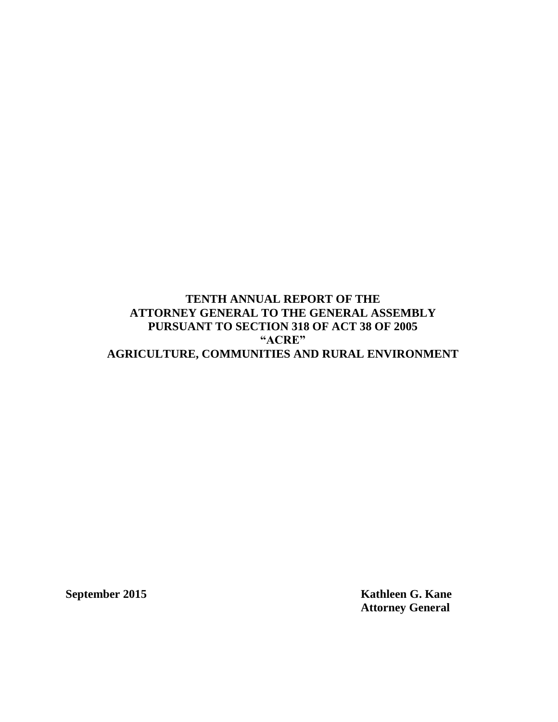# **TENTH ANNUAL REPORT OF THE ATTORNEY GENERAL TO THE GENERAL ASSEMBLY PURSUANT TO SECTION 318 OF ACT 38 OF 2005 "ACRE" AGRICULTURE, COMMUNITIES AND RURAL ENVIRONMENT**

**September 2015 Kathleen G. Kane Attorney General**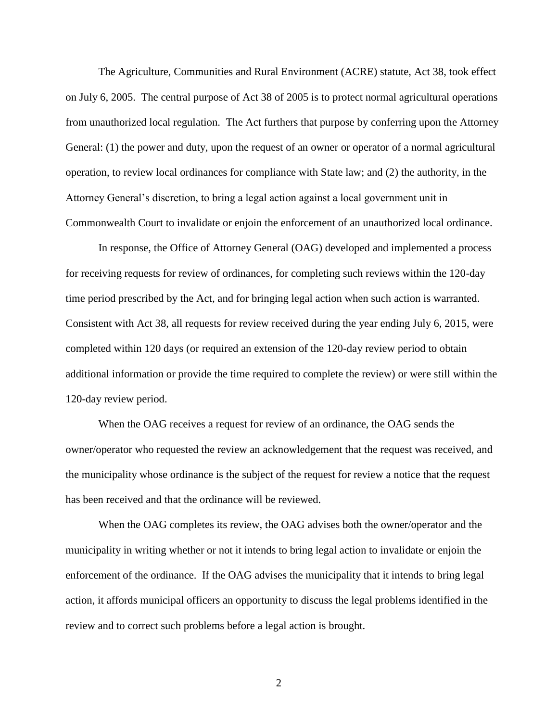The Agriculture, Communities and Rural Environment (ACRE) statute, Act 38, took effect on July 6, 2005. The central purpose of Act 38 of 2005 is to protect normal agricultural operations from unauthorized local regulation. The Act furthers that purpose by conferring upon the Attorney General: (1) the power and duty, upon the request of an owner or operator of a normal agricultural operation, to review local ordinances for compliance with State law; and (2) the authority, in the Attorney General's discretion, to bring a legal action against a local government unit in Commonwealth Court to invalidate or enjoin the enforcement of an unauthorized local ordinance.

In response, the Office of Attorney General (OAG) developed and implemented a process for receiving requests for review of ordinances, for completing such reviews within the 120-day time period prescribed by the Act, and for bringing legal action when such action is warranted. Consistent with Act 38, all requests for review received during the year ending July 6, 2015, were completed within 120 days (or required an extension of the 120-day review period to obtain additional information or provide the time required to complete the review) or were still within the 120-day review period.

When the OAG receives a request for review of an ordinance, the OAG sends the owner/operator who requested the review an acknowledgement that the request was received, and the municipality whose ordinance is the subject of the request for review a notice that the request has been received and that the ordinance will be reviewed.

When the OAG completes its review, the OAG advises both the owner/operator and the municipality in writing whether or not it intends to bring legal action to invalidate or enjoin the enforcement of the ordinance. If the OAG advises the municipality that it intends to bring legal action, it affords municipal officers an opportunity to discuss the legal problems identified in the review and to correct such problems before a legal action is brought.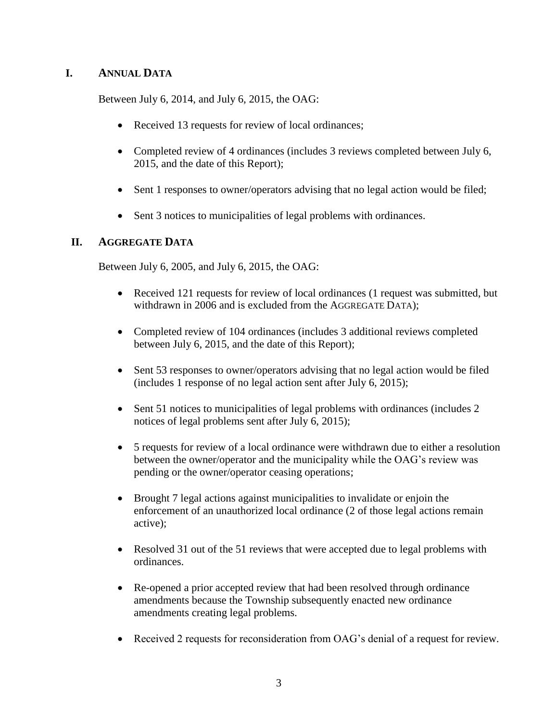# **I. ANNUAL DATA**

Between July 6, 2014, and July 6, 2015, the OAG:

- Received 13 requests for review of local ordinances;
- Completed review of 4 ordinances (includes 3 reviews completed between July 6, 2015, and the date of this Report);
- Sent 1 responses to owner/operators advising that no legal action would be filed;
- Sent 3 notices to municipalities of legal problems with ordinances.

# **II. AGGREGATE DATA**

Between July 6, 2005, and July 6, 2015, the OAG:

- Received 121 requests for review of local ordinances (1 request was submitted, but withdrawn in 2006 and is excluded from the AGGREGATE DATA);
- Completed review of 104 ordinances (includes 3 additional reviews completed between July 6, 2015, and the date of this Report);
- Sent 53 responses to owner/operators advising that no legal action would be filed (includes 1 response of no legal action sent after July 6, 2015);
- Sent 51 notices to municipalities of legal problems with ordinances (includes 2) notices of legal problems sent after July 6, 2015);
- 5 requests for review of a local ordinance were withdrawn due to either a resolution between the owner/operator and the municipality while the OAG's review was pending or the owner/operator ceasing operations;
- Brought 7 legal actions against municipalities to invalidate or enjoin the enforcement of an unauthorized local ordinance (2 of those legal actions remain active);
- Resolved 31 out of the 51 reviews that were accepted due to legal problems with ordinances.
- Re-opened a prior accepted review that had been resolved through ordinance amendments because the Township subsequently enacted new ordinance amendments creating legal problems.
- Received 2 requests for reconsideration from OAG's denial of a request for review.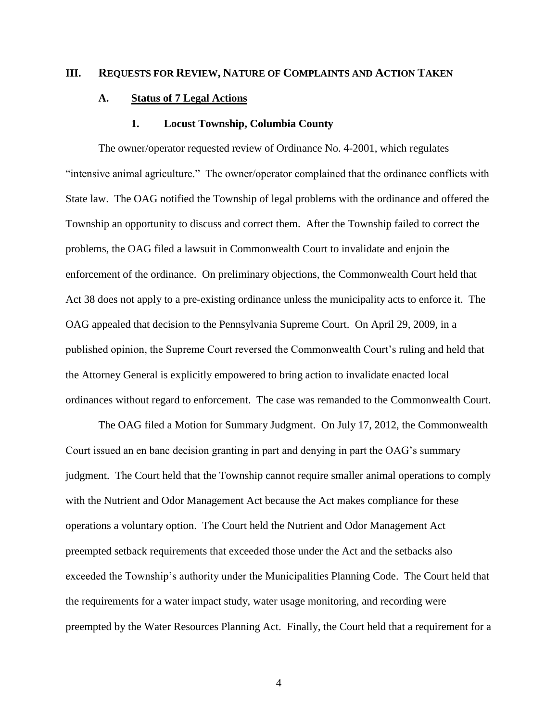#### **III. REQUESTS FOR REVIEW, NATURE OF COMPLAINTS AND ACTION TAKEN**

# **A. Status of 7 Legal Actions**

#### **1. Locust Township, Columbia County**

The owner/operator requested review of Ordinance No. 4-2001, which regulates "intensive animal agriculture." The owner/operator complained that the ordinance conflicts with State law. The OAG notified the Township of legal problems with the ordinance and offered the Township an opportunity to discuss and correct them. After the Township failed to correct the problems, the OAG filed a lawsuit in Commonwealth Court to invalidate and enjoin the enforcement of the ordinance. On preliminary objections, the Commonwealth Court held that Act 38 does not apply to a pre-existing ordinance unless the municipality acts to enforce it. The OAG appealed that decision to the Pennsylvania Supreme Court. On April 29, 2009, in a published opinion, the Supreme Court reversed the Commonwealth Court's ruling and held that the Attorney General is explicitly empowered to bring action to invalidate enacted local ordinances without regard to enforcement. The case was remanded to the Commonwealth Court.

The OAG filed a Motion for Summary Judgment. On July 17, 2012, the Commonwealth Court issued an en banc decision granting in part and denying in part the OAG's summary judgment. The Court held that the Township cannot require smaller animal operations to comply with the Nutrient and Odor Management Act because the Act makes compliance for these operations a voluntary option. The Court held the Nutrient and Odor Management Act preempted setback requirements that exceeded those under the Act and the setbacks also exceeded the Township's authority under the Municipalities Planning Code. The Court held that the requirements for a water impact study, water usage monitoring, and recording were preempted by the Water Resources Planning Act. Finally, the Court held that a requirement for a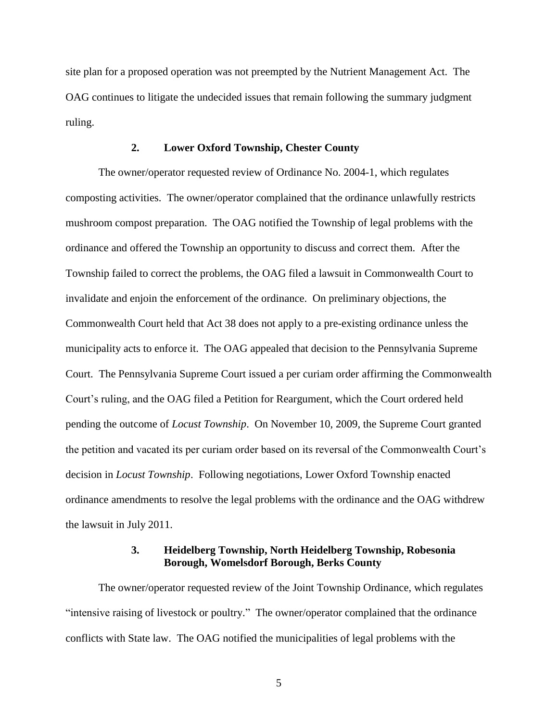site plan for a proposed operation was not preempted by the Nutrient Management Act. The OAG continues to litigate the undecided issues that remain following the summary judgment ruling.

## **2. Lower Oxford Township, Chester County**

The owner/operator requested review of Ordinance No. 2004-1, which regulates composting activities. The owner/operator complained that the ordinance unlawfully restricts mushroom compost preparation. The OAG notified the Township of legal problems with the ordinance and offered the Township an opportunity to discuss and correct them. After the Township failed to correct the problems, the OAG filed a lawsuit in Commonwealth Court to invalidate and enjoin the enforcement of the ordinance. On preliminary objections, the Commonwealth Court held that Act 38 does not apply to a pre-existing ordinance unless the municipality acts to enforce it. The OAG appealed that decision to the Pennsylvania Supreme Court. The Pennsylvania Supreme Court issued a per curiam order affirming the Commonwealth Court's ruling, and the OAG filed a Petition for Reargument, which the Court ordered held pending the outcome of *Locust Township*. On November 10, 2009, the Supreme Court granted the petition and vacated its per curiam order based on its reversal of the Commonwealth Court's decision in *Locust Township*. Following negotiations, Lower Oxford Township enacted ordinance amendments to resolve the legal problems with the ordinance and the OAG withdrew the lawsuit in July 2011.

# **3. Heidelberg Township, North Heidelberg Township, Robesonia Borough, Womelsdorf Borough, Berks County**

The owner/operator requested review of the Joint Township Ordinance, which regulates "intensive raising of livestock or poultry." The owner/operator complained that the ordinance conflicts with State law. The OAG notified the municipalities of legal problems with the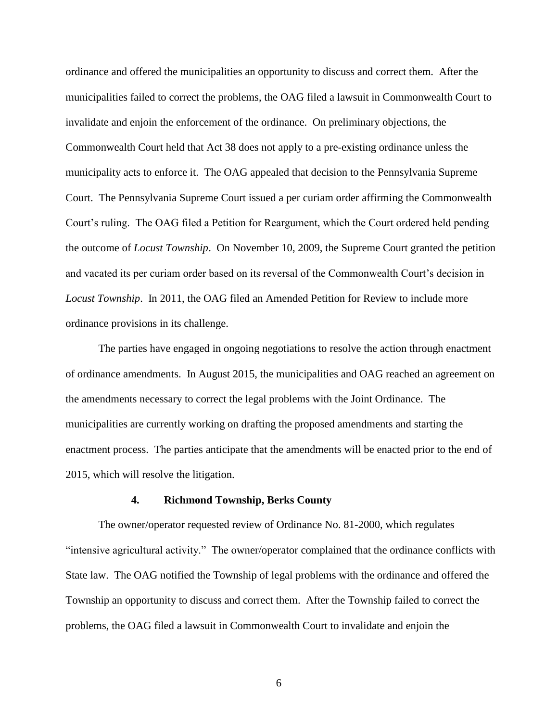ordinance and offered the municipalities an opportunity to discuss and correct them. After the municipalities failed to correct the problems, the OAG filed a lawsuit in Commonwealth Court to invalidate and enjoin the enforcement of the ordinance. On preliminary objections, the Commonwealth Court held that Act 38 does not apply to a pre-existing ordinance unless the municipality acts to enforce it. The OAG appealed that decision to the Pennsylvania Supreme Court. The Pennsylvania Supreme Court issued a per curiam order affirming the Commonwealth Court's ruling. The OAG filed a Petition for Reargument, which the Court ordered held pending the outcome of *Locust Township*. On November 10, 2009, the Supreme Court granted the petition and vacated its per curiam order based on its reversal of the Commonwealth Court's decision in *Locust Township*. In 2011, the OAG filed an Amended Petition for Review to include more ordinance provisions in its challenge.

The parties have engaged in ongoing negotiations to resolve the action through enactment of ordinance amendments. In August 2015, the municipalities and OAG reached an agreement on the amendments necessary to correct the legal problems with the Joint Ordinance. The municipalities are currently working on drafting the proposed amendments and starting the enactment process. The parties anticipate that the amendments will be enacted prior to the end of 2015, which will resolve the litigation.

## **4. Richmond Township, Berks County**

The owner/operator requested review of Ordinance No. 81-2000, which regulates "intensive agricultural activity." The owner/operator complained that the ordinance conflicts with State law. The OAG notified the Township of legal problems with the ordinance and offered the Township an opportunity to discuss and correct them. After the Township failed to correct the problems, the OAG filed a lawsuit in Commonwealth Court to invalidate and enjoin the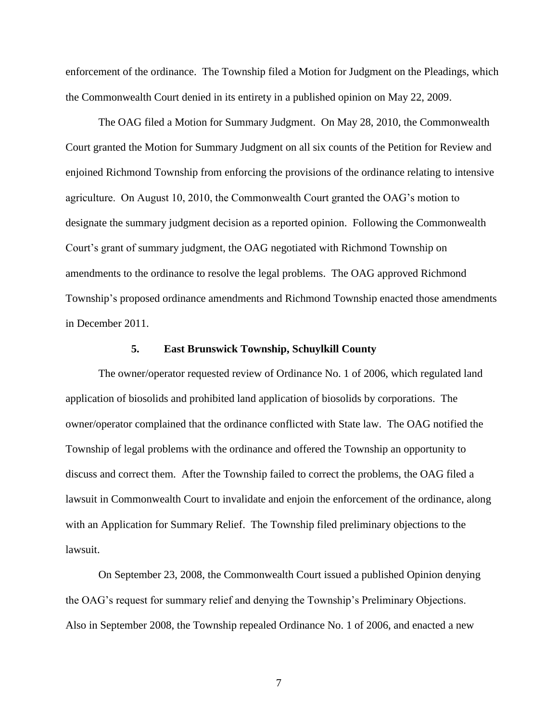enforcement of the ordinance. The Township filed a Motion for Judgment on the Pleadings, which the Commonwealth Court denied in its entirety in a published opinion on May 22, 2009.

The OAG filed a Motion for Summary Judgment. On May 28, 2010, the Commonwealth Court granted the Motion for Summary Judgment on all six counts of the Petition for Review and enjoined Richmond Township from enforcing the provisions of the ordinance relating to intensive agriculture. On August 10, 2010, the Commonwealth Court granted the OAG's motion to designate the summary judgment decision as a reported opinion. Following the Commonwealth Court's grant of summary judgment, the OAG negotiated with Richmond Township on amendments to the ordinance to resolve the legal problems. The OAG approved Richmond Township's proposed ordinance amendments and Richmond Township enacted those amendments in December 2011.

#### **5. East Brunswick Township, Schuylkill County**

The owner/operator requested review of Ordinance No. 1 of 2006, which regulated land application of biosolids and prohibited land application of biosolids by corporations. The owner/operator complained that the ordinance conflicted with State law. The OAG notified the Township of legal problems with the ordinance and offered the Township an opportunity to discuss and correct them. After the Township failed to correct the problems, the OAG filed a lawsuit in Commonwealth Court to invalidate and enjoin the enforcement of the ordinance, along with an Application for Summary Relief. The Township filed preliminary objections to the lawsuit.

On September 23, 2008, the Commonwealth Court issued a published Opinion denying the OAG's request for summary relief and denying the Township's Preliminary Objections. Also in September 2008, the Township repealed Ordinance No. 1 of 2006, and enacted a new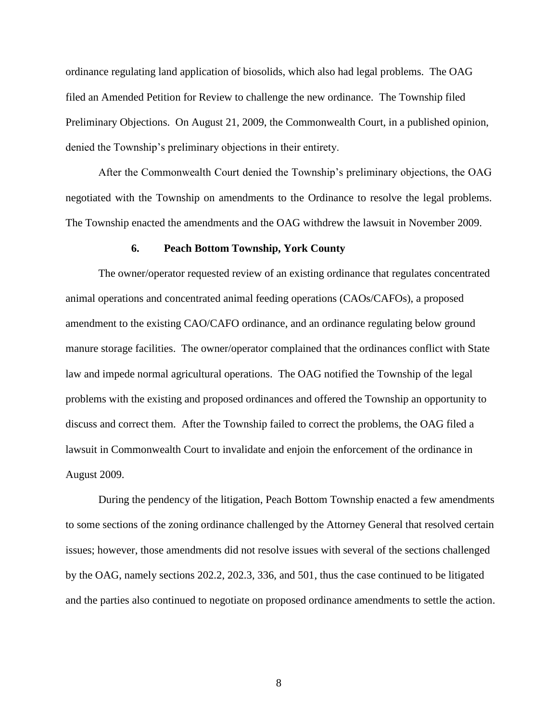ordinance regulating land application of biosolids, which also had legal problems. The OAG filed an Amended Petition for Review to challenge the new ordinance. The Township filed Preliminary Objections. On August 21, 2009, the Commonwealth Court, in a published opinion, denied the Township's preliminary objections in their entirety.

After the Commonwealth Court denied the Township's preliminary objections, the OAG negotiated with the Township on amendments to the Ordinance to resolve the legal problems. The Township enacted the amendments and the OAG withdrew the lawsuit in November 2009.

### **6. Peach Bottom Township, York County**

The owner/operator requested review of an existing ordinance that regulates concentrated animal operations and concentrated animal feeding operations (CAOs/CAFOs), a proposed amendment to the existing CAO/CAFO ordinance, and an ordinance regulating below ground manure storage facilities. The owner/operator complained that the ordinances conflict with State law and impede normal agricultural operations. The OAG notified the Township of the legal problems with the existing and proposed ordinances and offered the Township an opportunity to discuss and correct them. After the Township failed to correct the problems, the OAG filed a lawsuit in Commonwealth Court to invalidate and enjoin the enforcement of the ordinance in August 2009.

During the pendency of the litigation, Peach Bottom Township enacted a few amendments to some sections of the zoning ordinance challenged by the Attorney General that resolved certain issues; however, those amendments did not resolve issues with several of the sections challenged by the OAG, namely sections 202.2, 202.3, 336, and 501, thus the case continued to be litigated and the parties also continued to negotiate on proposed ordinance amendments to settle the action.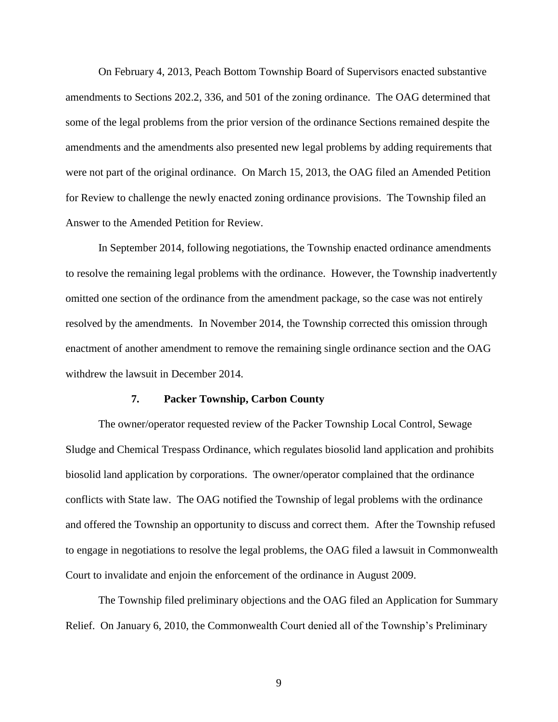On February 4, 2013, Peach Bottom Township Board of Supervisors enacted substantive amendments to Sections 202.2, 336, and 501 of the zoning ordinance. The OAG determined that some of the legal problems from the prior version of the ordinance Sections remained despite the amendments and the amendments also presented new legal problems by adding requirements that were not part of the original ordinance. On March 15, 2013, the OAG filed an Amended Petition for Review to challenge the newly enacted zoning ordinance provisions. The Township filed an Answer to the Amended Petition for Review.

In September 2014, following negotiations, the Township enacted ordinance amendments to resolve the remaining legal problems with the ordinance. However, the Township inadvertently omitted one section of the ordinance from the amendment package, so the case was not entirely resolved by the amendments. In November 2014, the Township corrected this omission through enactment of another amendment to remove the remaining single ordinance section and the OAG withdrew the lawsuit in December 2014.

## **7. Packer Township, Carbon County**

The owner/operator requested review of the Packer Township Local Control, Sewage Sludge and Chemical Trespass Ordinance, which regulates biosolid land application and prohibits biosolid land application by corporations. The owner/operator complained that the ordinance conflicts with State law. The OAG notified the Township of legal problems with the ordinance and offered the Township an opportunity to discuss and correct them. After the Township refused to engage in negotiations to resolve the legal problems, the OAG filed a lawsuit in Commonwealth Court to invalidate and enjoin the enforcement of the ordinance in August 2009.

The Township filed preliminary objections and the OAG filed an Application for Summary Relief. On January 6, 2010, the Commonwealth Court denied all of the Township's Preliminary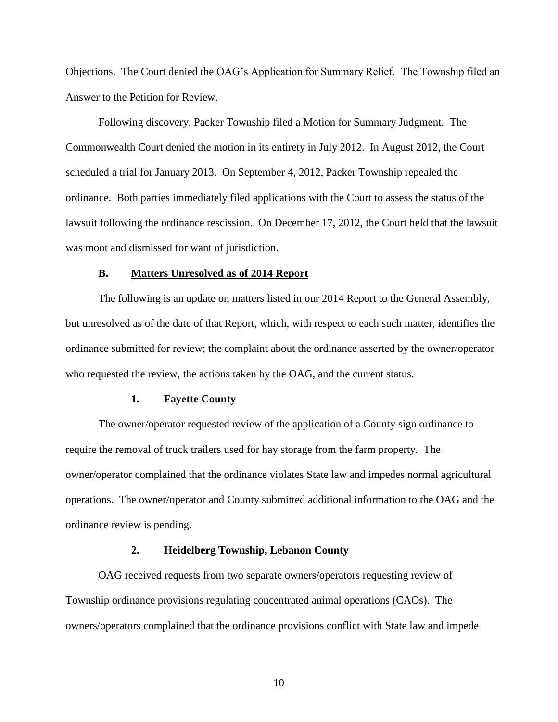Objections. The Court denied the OAG's Application for Summary Relief. The Township filed an Answer to the Petition for Review.

Following discovery, Packer Township filed a Motion for Summary Judgment. The Commonwealth Court denied the motion in its entirety in July 2012. In August 2012, the Court scheduled a trial for January 2013. On September 4, 2012, Packer Township repealed the ordinance. Both parties immediately filed applications with the Court to assess the status of the lawsuit following the ordinance rescission. On December 17, 2012, the Court held that the lawsuit was moot and dismissed for want of jurisdiction.

## **B. Matters Unresolved as of 2014 Report**

The following is an update on matters listed in our 2014 Report to the General Assembly, but unresolved as of the date of that Report, which, with respect to each such matter, identifies the ordinance submitted for review; the complaint about the ordinance asserted by the owner/operator who requested the review, the actions taken by the OAG, and the current status.

## **1. Fayette County**

The owner/operator requested review of the application of a County sign ordinance to require the removal of truck trailers used for hay storage from the farm property. The owner/operator complained that the ordinance violates State law and impedes normal agricultural operations. The owner/operator and County submitted additional information to the OAG and the ordinance review is pending.

# **2. Heidelberg Township, Lebanon County**

OAG received requests from two separate owners/operators requesting review of Township ordinance provisions regulating concentrated animal operations (CAOs). The owners/operators complained that the ordinance provisions conflict with State law and impede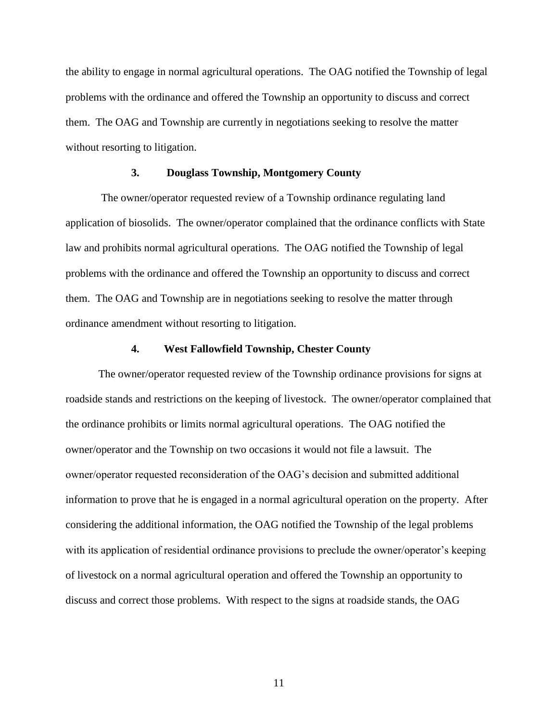the ability to engage in normal agricultural operations. The OAG notified the Township of legal problems with the ordinance and offered the Township an opportunity to discuss and correct them. The OAG and Township are currently in negotiations seeking to resolve the matter without resorting to litigation.

# **3. Douglass Township, Montgomery County**

The owner/operator requested review of a Township ordinance regulating land application of biosolids. The owner/operator complained that the ordinance conflicts with State law and prohibits normal agricultural operations. The OAG notified the Township of legal problems with the ordinance and offered the Township an opportunity to discuss and correct them. The OAG and Township are in negotiations seeking to resolve the matter through ordinance amendment without resorting to litigation.

# **4. West Fallowfield Township, Chester County**

The owner/operator requested review of the Township ordinance provisions for signs at roadside stands and restrictions on the keeping of livestock. The owner/operator complained that the ordinance prohibits or limits normal agricultural operations. The OAG notified the owner/operator and the Township on two occasions it would not file a lawsuit. The owner/operator requested reconsideration of the OAG's decision and submitted additional information to prove that he is engaged in a normal agricultural operation on the property. After considering the additional information, the OAG notified the Township of the legal problems with its application of residential ordinance provisions to preclude the owner/operator's keeping of livestock on a normal agricultural operation and offered the Township an opportunity to discuss and correct those problems. With respect to the signs at roadside stands, the OAG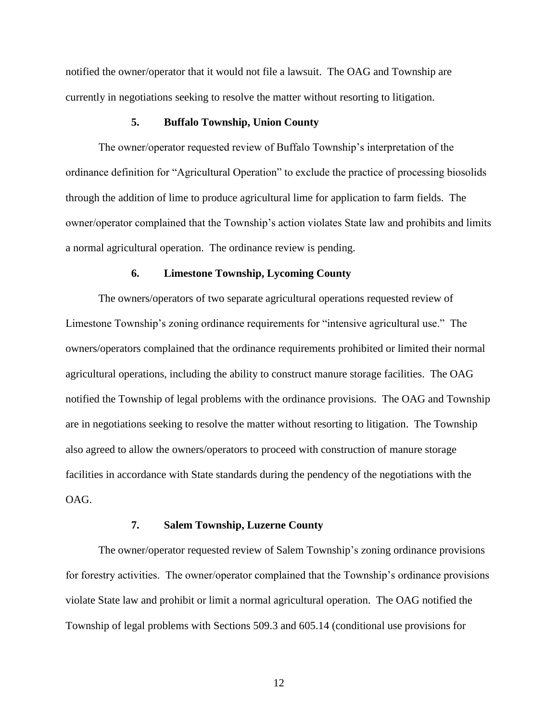notified the owner/operator that it would not file a lawsuit. The OAG and Township are currently in negotiations seeking to resolve the matter without resorting to litigation.

# **5. Buffalo Township, Union County**

The owner/operator requested review of Buffalo Township's interpretation of the ordinance definition for "Agricultural Operation" to exclude the practice of processing biosolids through the addition of lime to produce agricultural lime for application to farm fields. The owner/operator complained that the Township's action violates State law and prohibits and limits a normal agricultural operation. The ordinance review is pending.

#### **6. Limestone Township, Lycoming County**

The owners/operators of two separate agricultural operations requested review of Limestone Township's zoning ordinance requirements for "intensive agricultural use." The owners/operators complained that the ordinance requirements prohibited or limited their normal agricultural operations, including the ability to construct manure storage facilities. The OAG notified the Township of legal problems with the ordinance provisions. The OAG and Township are in negotiations seeking to resolve the matter without resorting to litigation. The Township also agreed to allow the owners/operators to proceed with construction of manure storage facilities in accordance with State standards during the pendency of the negotiations with the OAG.

## **7. Salem Township, Luzerne County**

The owner/operator requested review of Salem Township's zoning ordinance provisions for forestry activities. The owner/operator complained that the Township's ordinance provisions violate State law and prohibit or limit a normal agricultural operation. The OAG notified the Township of legal problems with Sections 509.3 and 605.14 (conditional use provisions for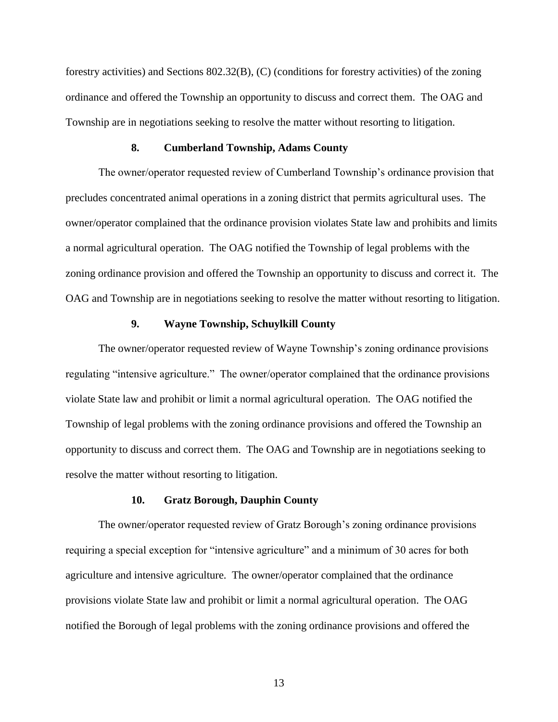forestry activities) and Sections 802.32(B), (C) (conditions for forestry activities) of the zoning ordinance and offered the Township an opportunity to discuss and correct them. The OAG and Township are in negotiations seeking to resolve the matter without resorting to litigation.

#### **8. Cumberland Township, Adams County**

The owner/operator requested review of Cumberland Township's ordinance provision that precludes concentrated animal operations in a zoning district that permits agricultural uses. The owner/operator complained that the ordinance provision violates State law and prohibits and limits a normal agricultural operation. The OAG notified the Township of legal problems with the zoning ordinance provision and offered the Township an opportunity to discuss and correct it. The OAG and Township are in negotiations seeking to resolve the matter without resorting to litigation.

#### **9. Wayne Township, Schuylkill County**

The owner/operator requested review of Wayne Township's zoning ordinance provisions regulating "intensive agriculture." The owner/operator complained that the ordinance provisions violate State law and prohibit or limit a normal agricultural operation. The OAG notified the Township of legal problems with the zoning ordinance provisions and offered the Township an opportunity to discuss and correct them. The OAG and Township are in negotiations seeking to resolve the matter without resorting to litigation.

# **10. Gratz Borough, Dauphin County**

The owner/operator requested review of Gratz Borough's zoning ordinance provisions requiring a special exception for "intensive agriculture" and a minimum of 30 acres for both agriculture and intensive agriculture. The owner/operator complained that the ordinance provisions violate State law and prohibit or limit a normal agricultural operation. The OAG notified the Borough of legal problems with the zoning ordinance provisions and offered the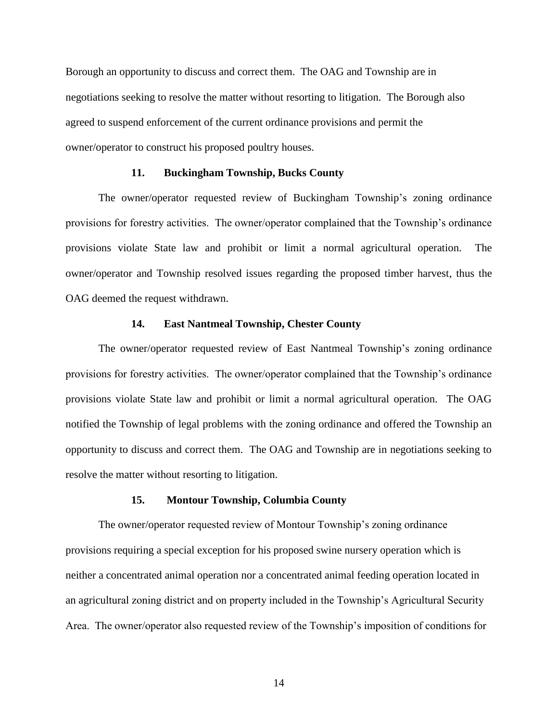Borough an opportunity to discuss and correct them. The OAG and Township are in negotiations seeking to resolve the matter without resorting to litigation. The Borough also agreed to suspend enforcement of the current ordinance provisions and permit the owner/operator to construct his proposed poultry houses.

## **11. Buckingham Township, Bucks County**

The owner/operator requested review of Buckingham Township's zoning ordinance provisions for forestry activities. The owner/operator complained that the Township's ordinance provisions violate State law and prohibit or limit a normal agricultural operation. The owner/operator and Township resolved issues regarding the proposed timber harvest, thus the OAG deemed the request withdrawn.

## **14. East Nantmeal Township, Chester County**

The owner/operator requested review of East Nantmeal Township's zoning ordinance provisions for forestry activities. The owner/operator complained that the Township's ordinance provisions violate State law and prohibit or limit a normal agricultural operation. The OAG notified the Township of legal problems with the zoning ordinance and offered the Township an opportunity to discuss and correct them. The OAG and Township are in negotiations seeking to resolve the matter without resorting to litigation.

## **15. Montour Township, Columbia County**

The owner/operator requested review of Montour Township's zoning ordinance provisions requiring a special exception for his proposed swine nursery operation which is neither a concentrated animal operation nor a concentrated animal feeding operation located in an agricultural zoning district and on property included in the Township's Agricultural Security Area. The owner/operator also requested review of the Township's imposition of conditions for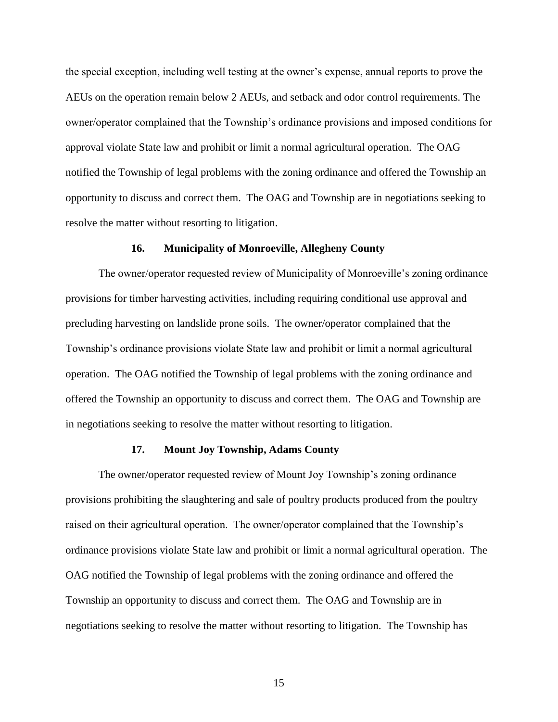the special exception, including well testing at the owner's expense, annual reports to prove the AEUs on the operation remain below 2 AEUs, and setback and odor control requirements. The owner/operator complained that the Township's ordinance provisions and imposed conditions for approval violate State law and prohibit or limit a normal agricultural operation. The OAG notified the Township of legal problems with the zoning ordinance and offered the Township an opportunity to discuss and correct them. The OAG and Township are in negotiations seeking to resolve the matter without resorting to litigation.

### **16. Municipality of Monroeville, Allegheny County**

The owner/operator requested review of Municipality of Monroeville's zoning ordinance provisions for timber harvesting activities, including requiring conditional use approval and precluding harvesting on landslide prone soils. The owner/operator complained that the Township's ordinance provisions violate State law and prohibit or limit a normal agricultural operation. The OAG notified the Township of legal problems with the zoning ordinance and offered the Township an opportunity to discuss and correct them. The OAG and Township are in negotiations seeking to resolve the matter without resorting to litigation.

#### **17. Mount Joy Township, Adams County**

The owner/operator requested review of Mount Joy Township's zoning ordinance provisions prohibiting the slaughtering and sale of poultry products produced from the poultry raised on their agricultural operation. The owner/operator complained that the Township's ordinance provisions violate State law and prohibit or limit a normal agricultural operation. The OAG notified the Township of legal problems with the zoning ordinance and offered the Township an opportunity to discuss and correct them. The OAG and Township are in negotiations seeking to resolve the matter without resorting to litigation. The Township has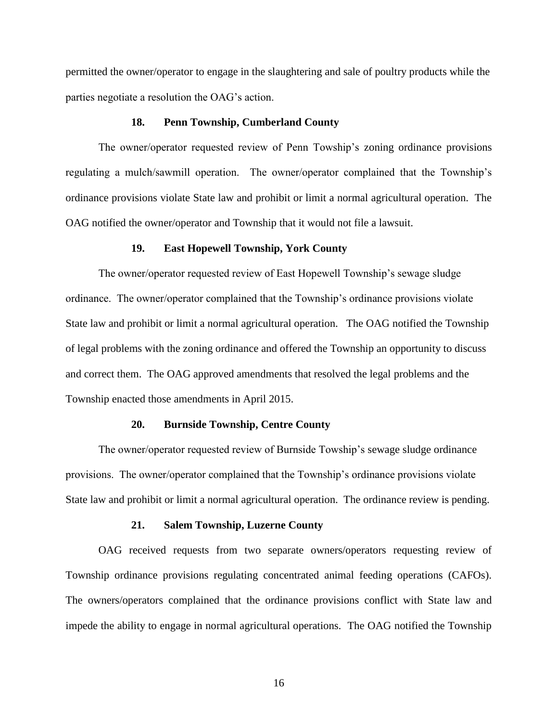permitted the owner/operator to engage in the slaughtering and sale of poultry products while the parties negotiate a resolution the OAG's action.

#### **18. Penn Township, Cumberland County**

The owner/operator requested review of Penn Towship's zoning ordinance provisions regulating a mulch/sawmill operation. The owner/operator complained that the Township's ordinance provisions violate State law and prohibit or limit a normal agricultural operation. The OAG notified the owner/operator and Township that it would not file a lawsuit.

### **19. East Hopewell Township, York County**

The owner/operator requested review of East Hopewell Township's sewage sludge ordinance. The owner/operator complained that the Township's ordinance provisions violate State law and prohibit or limit a normal agricultural operation. The OAG notified the Township of legal problems with the zoning ordinance and offered the Township an opportunity to discuss and correct them. The OAG approved amendments that resolved the legal problems and the Township enacted those amendments in April 2015.

#### **20. Burnside Township, Centre County**

The owner/operator requested review of Burnside Towship's sewage sludge ordinance provisions. The owner/operator complained that the Township's ordinance provisions violate State law and prohibit or limit a normal agricultural operation. The ordinance review is pending.

#### **21. Salem Township, Luzerne County**

OAG received requests from two separate owners/operators requesting review of Township ordinance provisions regulating concentrated animal feeding operations (CAFOs). The owners/operators complained that the ordinance provisions conflict with State law and impede the ability to engage in normal agricultural operations. The OAG notified the Township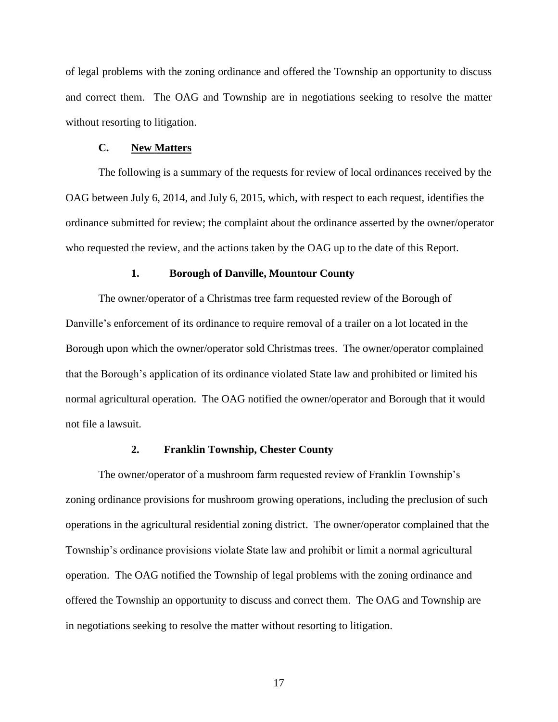of legal problems with the zoning ordinance and offered the Township an opportunity to discuss and correct them. The OAG and Township are in negotiations seeking to resolve the matter without resorting to litigation.

#### **C. New Matters**

The following is a summary of the requests for review of local ordinances received by the OAG between July 6, 2014, and July 6, 2015, which, with respect to each request, identifies the ordinance submitted for review; the complaint about the ordinance asserted by the owner/operator who requested the review, and the actions taken by the OAG up to the date of this Report.

#### **1. Borough of Danville, Mountour County**

The owner/operator of a Christmas tree farm requested review of the Borough of Danville's enforcement of its ordinance to require removal of a trailer on a lot located in the Borough upon which the owner/operator sold Christmas trees. The owner/operator complained that the Borough's application of its ordinance violated State law and prohibited or limited his normal agricultural operation. The OAG notified the owner/operator and Borough that it would not file a lawsuit.

#### **2. Franklin Township, Chester County**

The owner/operator of a mushroom farm requested review of Franklin Township's zoning ordinance provisions for mushroom growing operations, including the preclusion of such operations in the agricultural residential zoning district. The owner/operator complained that the Township's ordinance provisions violate State law and prohibit or limit a normal agricultural operation. The OAG notified the Township of legal problems with the zoning ordinance and offered the Township an opportunity to discuss and correct them. The OAG and Township are in negotiations seeking to resolve the matter without resorting to litigation.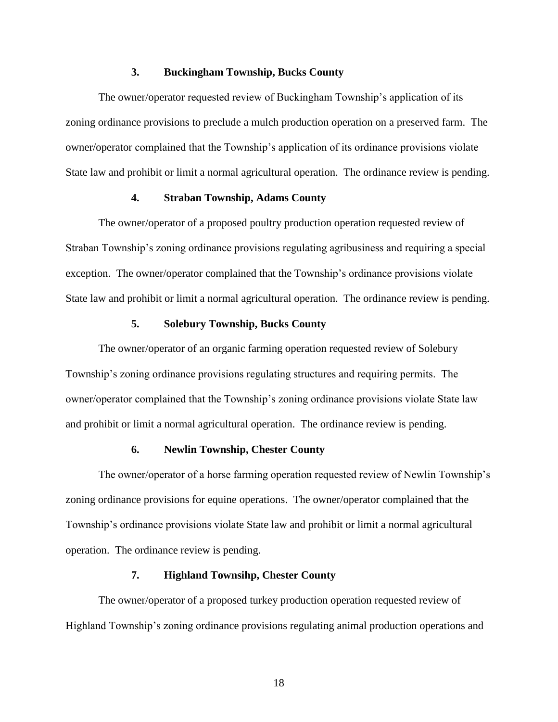# **3. Buckingham Township, Bucks County**

The owner/operator requested review of Buckingham Township's application of its zoning ordinance provisions to preclude a mulch production operation on a preserved farm. The owner/operator complained that the Township's application of its ordinance provisions violate State law and prohibit or limit a normal agricultural operation. The ordinance review is pending.

# **4. Straban Township, Adams County**

The owner/operator of a proposed poultry production operation requested review of Straban Township's zoning ordinance provisions regulating agribusiness and requiring a special exception. The owner/operator complained that the Township's ordinance provisions violate State law and prohibit or limit a normal agricultural operation. The ordinance review is pending.

# **5. Solebury Township, Bucks County**

The owner/operator of an organic farming operation requested review of Solebury Township's zoning ordinance provisions regulating structures and requiring permits. The owner/operator complained that the Township's zoning ordinance provisions violate State law and prohibit or limit a normal agricultural operation. The ordinance review is pending.

#### **6. Newlin Township, Chester County**

The owner/operator of a horse farming operation requested review of Newlin Township's zoning ordinance provisions for equine operations. The owner/operator complained that the Township's ordinance provisions violate State law and prohibit or limit a normal agricultural operation. The ordinance review is pending.

# **7. Highland Townsihp, Chester County**

The owner/operator of a proposed turkey production operation requested review of Highland Township's zoning ordinance provisions regulating animal production operations and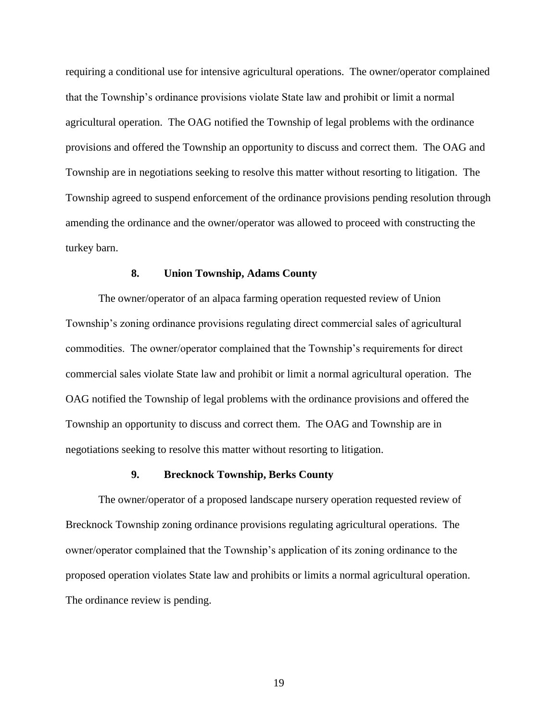requiring a conditional use for intensive agricultural operations. The owner/operator complained that the Township's ordinance provisions violate State law and prohibit or limit a normal agricultural operation. The OAG notified the Township of legal problems with the ordinance provisions and offered the Township an opportunity to discuss and correct them. The OAG and Township are in negotiations seeking to resolve this matter without resorting to litigation. The Township agreed to suspend enforcement of the ordinance provisions pending resolution through amending the ordinance and the owner/operator was allowed to proceed with constructing the turkey barn.

#### **8. Union Township, Adams County**

The owner/operator of an alpaca farming operation requested review of Union Township's zoning ordinance provisions regulating direct commercial sales of agricultural commodities. The owner/operator complained that the Township's requirements for direct commercial sales violate State law and prohibit or limit a normal agricultural operation. The OAG notified the Township of legal problems with the ordinance provisions and offered the Township an opportunity to discuss and correct them. The OAG and Township are in negotiations seeking to resolve this matter without resorting to litigation.

## **9. Brecknock Township, Berks County**

The owner/operator of a proposed landscape nursery operation requested review of Brecknock Township zoning ordinance provisions regulating agricultural operations. The owner/operator complained that the Township's application of its zoning ordinance to the proposed operation violates State law and prohibits or limits a normal agricultural operation. The ordinance review is pending.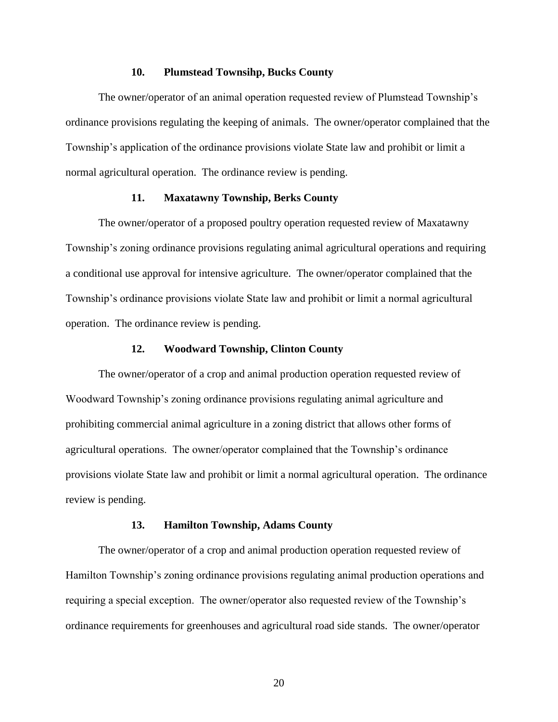# **10. Plumstead Townsihp, Bucks County**

The owner/operator of an animal operation requested review of Plumstead Township's ordinance provisions regulating the keeping of animals. The owner/operator complained that the Township's application of the ordinance provisions violate State law and prohibit or limit a normal agricultural operation. The ordinance review is pending.

# **11. Maxatawny Township, Berks County**

The owner/operator of a proposed poultry operation requested review of Maxatawny Township's zoning ordinance provisions regulating animal agricultural operations and requiring a conditional use approval for intensive agriculture. The owner/operator complained that the Township's ordinance provisions violate State law and prohibit or limit a normal agricultural operation. The ordinance review is pending.

#### **12. Woodward Township, Clinton County**

The owner/operator of a crop and animal production operation requested review of Woodward Township's zoning ordinance provisions regulating animal agriculture and prohibiting commercial animal agriculture in a zoning district that allows other forms of agricultural operations. The owner/operator complained that the Township's ordinance provisions violate State law and prohibit or limit a normal agricultural operation. The ordinance review is pending.

## **13. Hamilton Township, Adams County**

The owner/operator of a crop and animal production operation requested review of Hamilton Township's zoning ordinance provisions regulating animal production operations and requiring a special exception. The owner/operator also requested review of the Township's ordinance requirements for greenhouses and agricultural road side stands. The owner/operator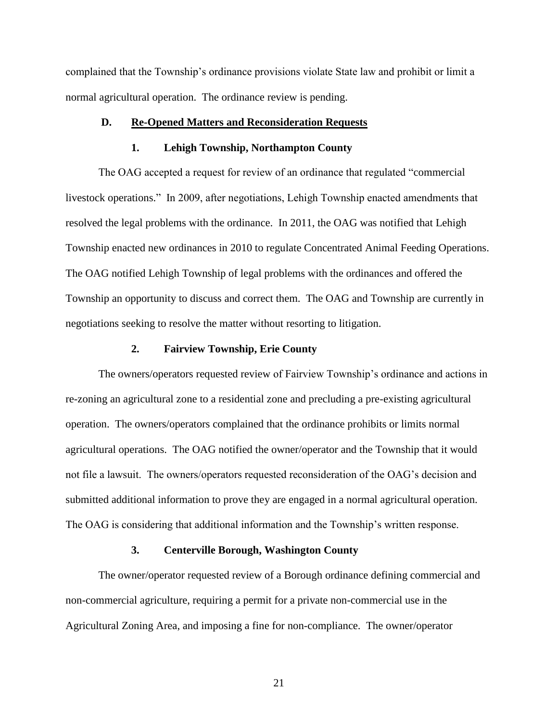complained that the Township's ordinance provisions violate State law and prohibit or limit a normal agricultural operation. The ordinance review is pending.

# **D. Re-Opened Matters and Reconsideration Requests**

#### **1. Lehigh Township, Northampton County**

The OAG accepted a request for review of an ordinance that regulated "commercial livestock operations." In 2009, after negotiations, Lehigh Township enacted amendments that resolved the legal problems with the ordinance. In 2011, the OAG was notified that Lehigh Township enacted new ordinances in 2010 to regulate Concentrated Animal Feeding Operations. The OAG notified Lehigh Township of legal problems with the ordinances and offered the Township an opportunity to discuss and correct them. The OAG and Township are currently in negotiations seeking to resolve the matter without resorting to litigation.

# **2. Fairview Township, Erie County**

The owners/operators requested review of Fairview Township's ordinance and actions in re-zoning an agricultural zone to a residential zone and precluding a pre-existing agricultural operation. The owners/operators complained that the ordinance prohibits or limits normal agricultural operations. The OAG notified the owner/operator and the Township that it would not file a lawsuit. The owners/operators requested reconsideration of the OAG's decision and submitted additional information to prove they are engaged in a normal agricultural operation. The OAG is considering that additional information and the Township's written response.

#### **3. Centerville Borough, Washington County**

The owner/operator requested review of a Borough ordinance defining commercial and non-commercial agriculture, requiring a permit for a private non-commercial use in the Agricultural Zoning Area, and imposing a fine for non-compliance. The owner/operator